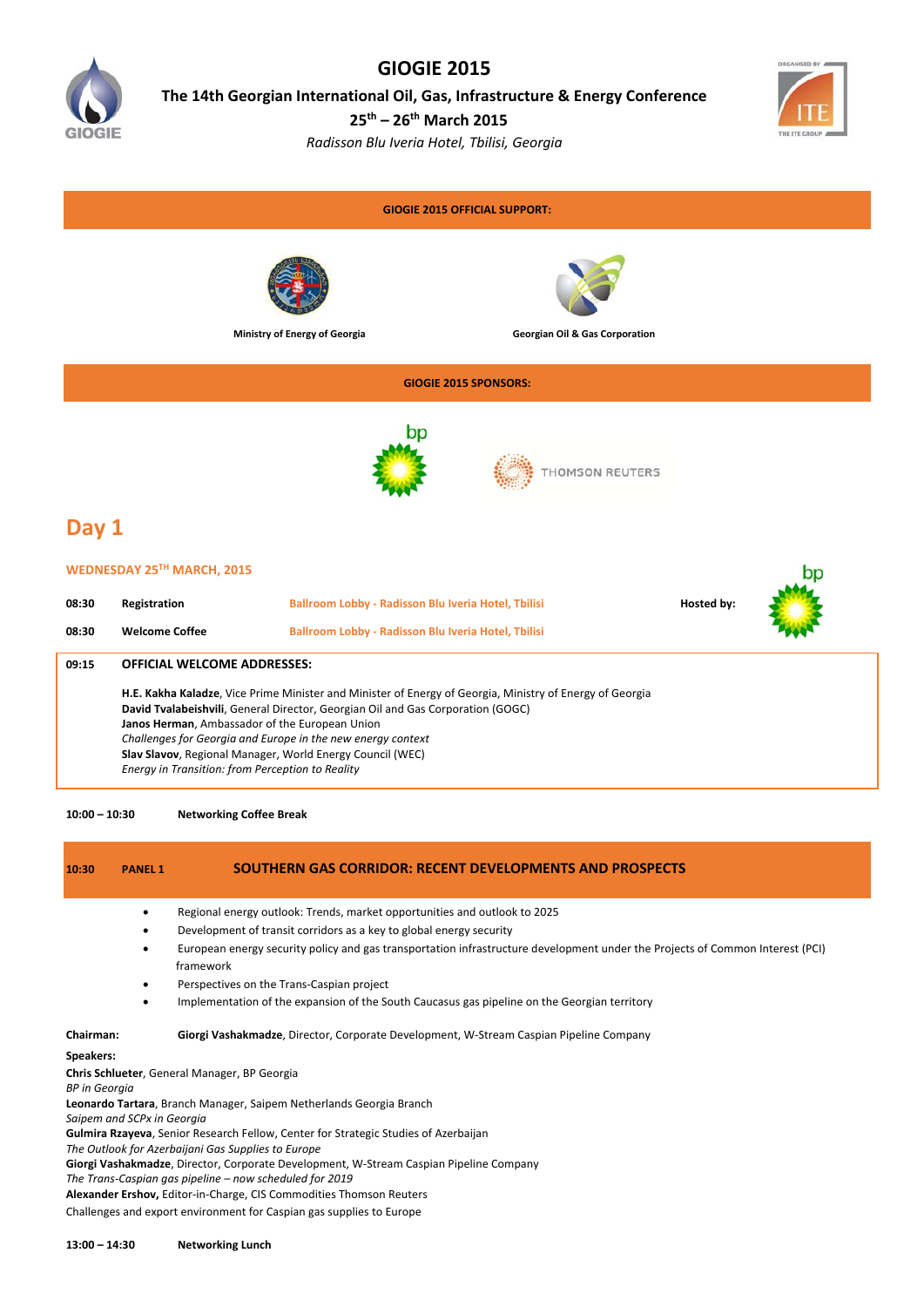

## **GIOGIE 2015**

**The 14th Georgian International Oil, Gas, Infrastructure & Energy Conference**

**25th – 26th March 2015** 

*Radisson Blu Iveria Hotel, Tbilisi, Georgia*



b<sub>n</sub>

### **GIOGIE 2015 OFFICIAL SUPPORT:**





**Ministry of Energy of Georgia Georgian Oil & Gas Corporation**

### **GIOGIE 2015 SPONSORS:**



THOMSON REUTERS

# **Day 1**

#### **WEDNESDAY 25TH MARCH, 2015**

| 08:30<br>08:30 | Registration<br><b>Welcome Coffee</b>                                                                                                                                                                                                                                                                                                                                                                                         | Ballroom Lobby - Radisson Blu Iveria Hotel, Tbilisi<br>Ballroom Lobby - Radisson Blu Iveria Hotel, Tbilisi | Hosted by: |  |
|----------------|-------------------------------------------------------------------------------------------------------------------------------------------------------------------------------------------------------------------------------------------------------------------------------------------------------------------------------------------------------------------------------------------------------------------------------|------------------------------------------------------------------------------------------------------------|------------|--|
| 09:15          | <b>OFFICIAL WELCOME ADDRESSES:</b>                                                                                                                                                                                                                                                                                                                                                                                            |                                                                                                            |            |  |
|                | H.E. Kakha Kaladze, Vice Prime Minister and Minister of Energy of Georgia, Ministry of Energy of Georgia<br>David Tvalabeishvili, General Director, Georgian Oil and Gas Corporation (GOGC)<br>Janos Herman, Ambassador of the European Union<br>Challenges for Georgia and Europe in the new energy context<br>Slav Slavov, Regional Manager, World Energy Council (WEC)<br>Energy in Transition: from Perception to Reality |                                                                                                            |            |  |

**10:00 – 10:30 Networking Coffee Break** 

### **10:30 PANEL 1 SOUTHERN GAS CORRIDOR: RECENT DEVELOPMENTS AND PROSPECTS** Regional energy outlook: Trends, market opportunities and outlook to 2025 Development of transit corridors as a key to global energy security European energy security policy and gas transportation infrastructure development under the Projects of Common Interest (PCI) framework Perspectives on the Trans‐Caspian project Implementation of the expansion of the South Caucasus gas pipeline on the Georgian territory **Chairman: Giorgi Vashakmadze**, Director, Corporate Development, W‐Stream Caspian Pipeline Company **Speakers: Chris Schlueter**, General Manager, BP Georgia *BP in Georgia* **Leonardo Tartara**, Branch Manager, Saipem Netherlands Georgia Branch *Saipem and SCPx in Georgia*

**Gulmira Rzayeva**, Senior Research Fellow, Center for Strategic Studies of Azerbaijan

*The Outlook for Azerbaijani Gas Supplies to Europe*

**Giorgi Vashakmadze**, Director, Corporate Development, W‐Stream Caspian Pipeline Company

*The Trans‐Caspian gas pipeline – now scheduled for 2019*

**Alexander Ershov,** Editor‐in‐Charge, CIS Commodities Thomson Reuters

Challenges and export environment for Caspian gas supplies to Europe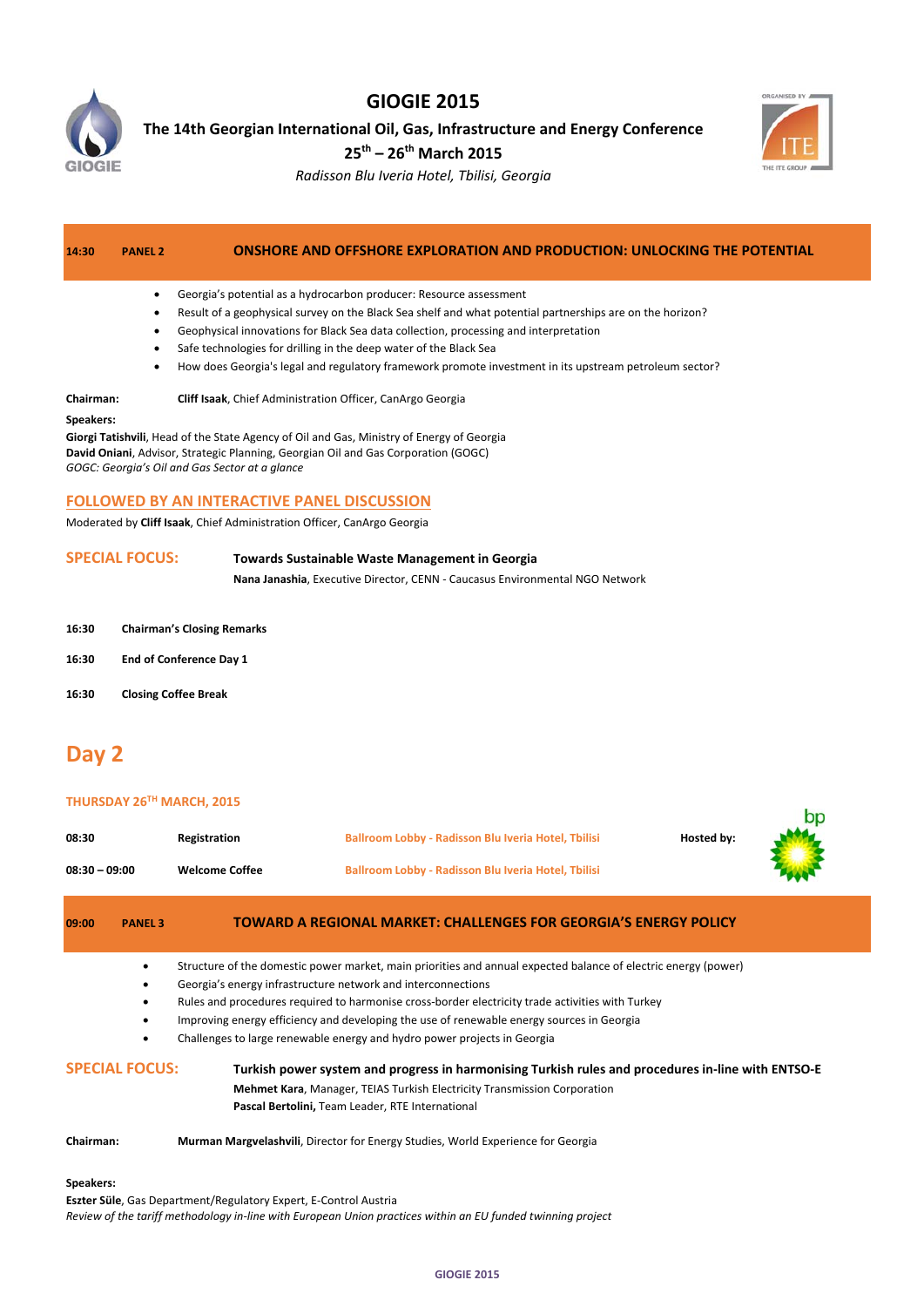

## **GIOGIE 2015**

**The 14th Georgian International Oil, Gas, Infrastructure and Energy Conference**

**25th – 26th March 2015**



bp

*Radisson Blu Iveria Hotel, Tbilisi, Georgia*

## **14:30 PANEL 2 ONSHORE AND OFFSHORE EXPLORATION AND PRODUCTION: UNLOCKING THE POTENTIAL**

- Georgia's potential as a hydrocarbon producer: Resource assessment
- Result of a geophysical survey on the Black Sea shelf and what potential partnerships are on the horizon?
- Geophysical innovations for Black Sea data collection, processing and interpretation
- Safe technologies for drilling in the deep water of the Black Sea
- How does Georgia's legal and regulatory framework promote investment in its upstream petroleum sector?

#### **Chairman: Cliff Isaak**, Chief Administration Officer, CanArgo Georgia

#### **Speakers:**

**Giorgi Tatishvili**, Head of the State Agency of Oil and Gas, Ministry of Energy of Georgia **David Oniani**, Advisor, Strategic Planning, Georgian Oil and Gas Corporation (GOGC) *GOGC: Georgia's Oil and Gas Sector at a glance*

### **FOLLOWED BY AN INTERACTIVE PANEL DISCUSSION**

Moderated by **Cliff Isaak**, Chief Administration Officer, CanArgo Georgia

# **SPECIAL FOCUS: Towards Sustainable Waste Management in Georgia**

**Nana Janashia**, Executive Director, CENN ‐ Caucasus Environmental NGO Network

- **16:30 Chairman's Closing Remarks**
- **16:30 End of Conference Day 1**
- **16:30 Closing Coffee Break**

# **Day 2**

#### **THURSDAY 26TH MARCH, 2015**

| 08:30           | <b>Registration</b>   | Ballroom Lobby - Radisson Blu Iveria Hotel, Tbilisi        | Hosted by: |             |
|-----------------|-----------------------|------------------------------------------------------------|------------|-------------|
| $08:30 - 09:00$ | <b>Welcome Coffee</b> | <b>Ballroom Lobby - Radisson Blu Iveria Hotel, Tbilisi</b> |            | <b>RANK</b> |

| 09:00                 | <b>PANEL 3</b> | TOWARD A REGIONAL MARKET: CHALLENGES FOR GEORGIA'S ENERGY POLICY                                                                                                                              |  |
|-----------------------|----------------|-----------------------------------------------------------------------------------------------------------------------------------------------------------------------------------------------|--|
|                       | ٠<br>٠         | Structure of the domestic power market, main priorities and annual expected balance of electric energy (power)<br>Georgia's energy infrastructure network and interconnections                |  |
|                       |                | Rules and procedures required to harmonise cross-border electricity trade activities with Turkey<br>Improving energy efficiency and developing the use of renewable energy sources in Georgia |  |
|                       | ٠              | Challenges to large renewable energy and hydro power projects in Georgia                                                                                                                      |  |
| <b>SPECIAL FOCUS:</b> |                | Turkish power system and progress in harmonising Turkish rules and procedures in-line with ENTSO-E<br><b>Mehmet Kara, Manager, TEIAS Turkish Electricity Transmission Corporation</b>         |  |
|                       |                | Pascal Bertolini, Team Leader, RTE International                                                                                                                                              |  |
| Chairman:             |                | Murman Margvelashvili, Director for Energy Studies, World Experience for Georgia                                                                                                              |  |
| Speakers:             |                |                                                                                                                                                                                               |  |
|                       |                | <b>Eszter Süle, Gas Department/Regulatory Expert, E-Control Austria</b><br>Review of the tariff methodology in-line with European Union practices within an EU funded twinning project        |  |